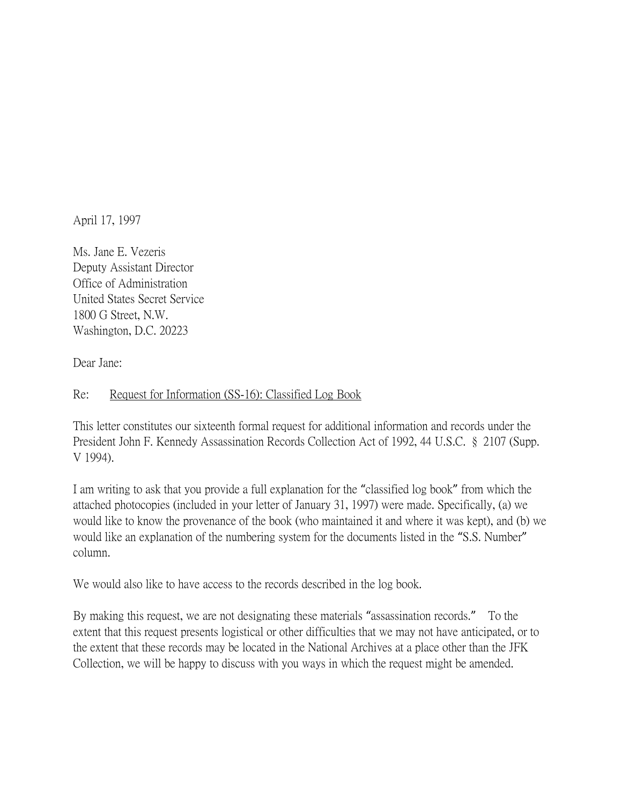April 17, 1997

Ms. Jane E. Vezeris Deputy Assistant Director Office of Administration United States Secret Service 1800 G Street, N.W. Washington, D.C. 20223

Dear Jane:

## Re: Request for Information (SS-16): Classified Log Book

This letter constitutes our sixteenth formal request for additional information and records under the President John F. Kennedy Assassination Records Collection Act of 1992, 44 U.S.C. § 2107 (Supp. V 1994).

I am writing to ask that you provide a full explanation for the "classified log book" from which the attached photocopies (included in your letter of January 31, 1997) were made. Specifically, (a) we would like to know the provenance of the book (who maintained it and where it was kept), and (b) we would like an explanation of the numbering system for the documents listed in the "S.S. Number" column.

We would also like to have access to the records described in the log book.

By making this request, we are not designating these materials "assassination records." To the extent that this request presents logistical or other difficulties that we may not have anticipated, or to the extent that these records may be located in the National Archives at a place other than the JFK Collection, we will be happy to discuss with you ways in which the request might be amended.